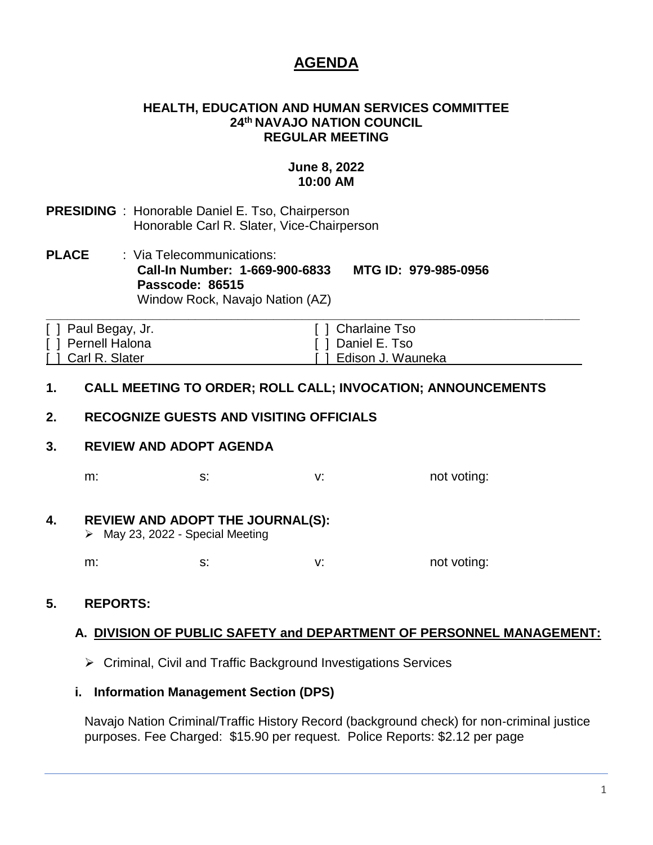# **AGENDA**

#### **HEALTH, EDUCATION AND HUMAN SERVICES COMMITTEE 24th NAVAJO NATION COUNCIL REGULAR MEETING**

# **June 8, 2022 10:00 AM**

- **PRESIDING** : Honorable Daniel E. Tso, Chairperson Honorable Carl R. Slater, Vice-Chairperson
- **PLACE** : Via Telecommunications: **Call-In Number: 1-669-900-6833 MTG ID: 979-985-0956 Passcode: 86515** Window Rock, Navajo Nation (AZ)

| [ ] Paul Begay, Jr. | [ ] Charlaine Tso     |
|---------------------|-----------------------|
| [ ] Pernell Halona  | [ ] Daniel E. Tso     |
| [ ] Carl R. Slater  | [ ] Edison J. Wauneka |

### **1. CALL MEETING TO ORDER; ROLL CALL; INVOCATION; ANNOUNCEMENTS**

# **2. RECOGNIZE GUESTS AND VISITING OFFICIALS**

# **3. REVIEW AND ADOPT AGENDA**

m: s: s: v: not voting:

### **4. REVIEW AND ADOPT THE JOURNAL(S):**

➢ May 23, 2022 - Special Meeting

m: s: s: v: v: not voting:

# **5. REPORTS:**

### **A. DIVISION OF PUBLIC SAFETY and DEPARTMENT OF PERSONNEL MANAGEMENT:**

➢ Criminal, Civil and Traffic Background Investigations Services

### **i. Information Management Section (DPS)**

Navajo Nation Criminal/Traffic History Record (background check) for non‐criminal justice purposes. Fee Charged: \$15.90 per request. Police Reports: \$2.12 per page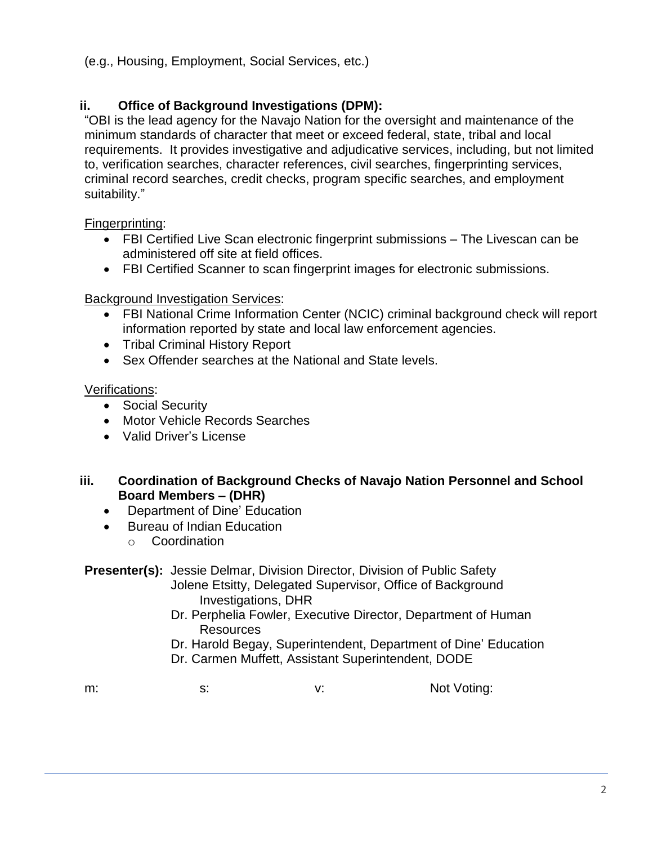(e.g., Housing, Employment, Social Services, etc.)

# **ii. Office of Background Investigations (DPM):**

"OBI is the lead agency for the Navajo Nation for the oversight and maintenance of the minimum standards of character that meet or exceed federal, state, tribal and local requirements. It provides investigative and adjudicative services, including, but not limited to, verification searches, character references, civil searches, fingerprinting services, criminal record searches, credit checks, program specific searches, and employment suitability."

Fingerprinting:

- FBI Certified Live Scan electronic fingerprint submissions The Livescan can be administered off site at field offices.
- FBI Certified Scanner to scan fingerprint images for electronic submissions.

# **Background Investigation Services:**

- FBI National Crime Information Center (NCIC) criminal background check will report information reported by state and local law enforcement agencies.
- Tribal Criminal History Report
- Sex Offender searches at the National and State levels.

# Verifications:

- Social Security
- Motor Vehicle Records Searches
- Valid Driver's License

# **iii. Coordination of Background Checks of Navajo Nation Personnel and School Board Members – (DHR)**

- Department of Dine' Education
- Bureau of Indian Education
	- o Coordination

### **Presenter(s):** Jessie Delmar, Division Director, Division of Public Safety Jolene Etsitty, Delegated Supervisor, Office of Background Investigations, DHR

 Dr. Perphelia Fowler, Executive Director, Department of Human Resources

Dr. Harold Begay, Superintendent, Department of Dine' Education Dr. Carmen Muffett, Assistant Superintendent, DODE

m: s: s: v: Not Voting: